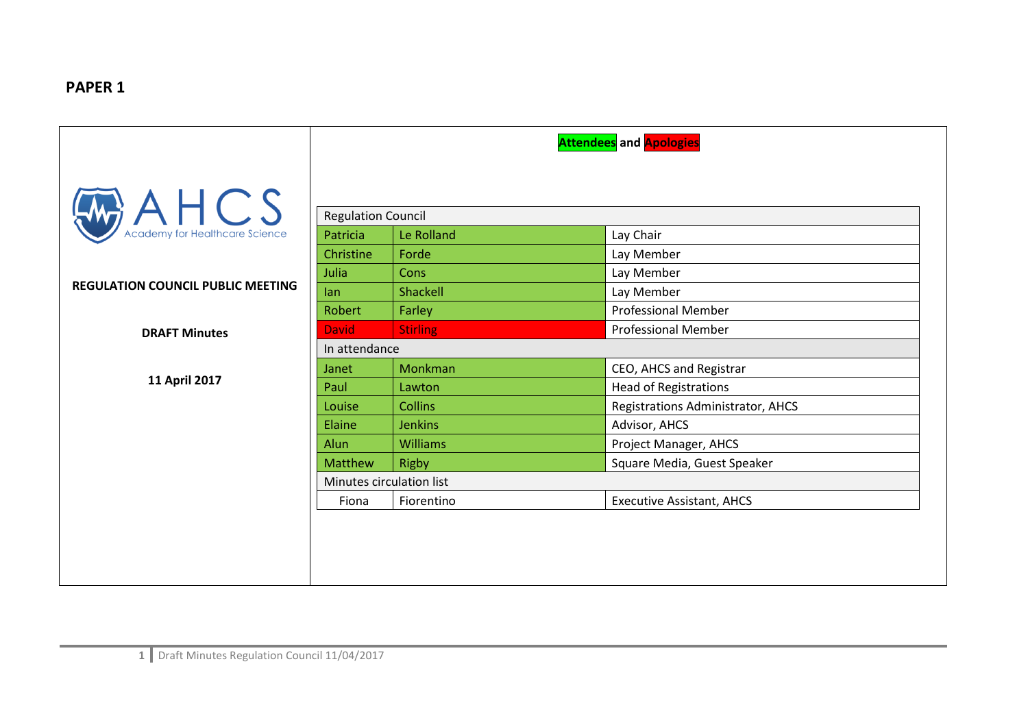## **PAPER 1**

|                                              | <b>Attendees</b> and <b>Apologies</b> |                           |                                   |  |
|----------------------------------------------|---------------------------------------|---------------------------|-----------------------------------|--|
| $A \cup C$<br>Academy for Healthcare Science |                                       |                           |                                   |  |
|                                              |                                       | <b>Regulation Council</b> |                                   |  |
|                                              | Patricia                              | Le Rolland                | Lay Chair                         |  |
|                                              | Christine                             | Forde                     | Lay Member                        |  |
|                                              | Julia                                 | Cons                      | Lay Member                        |  |
| <b>REGULATION COUNCIL PUBLIC MEETING</b>     | lan                                   | Shackell                  | Lay Member                        |  |
|                                              | <b>Robert</b>                         | Farley                    | <b>Professional Member</b>        |  |
| <b>DRAFT Minutes</b>                         | <b>David</b>                          | <b>Stirling</b>           | <b>Professional Member</b>        |  |
|                                              | In attendance                         |                           |                                   |  |
|                                              | Janet                                 | Monkman                   | CEO, AHCS and Registrar           |  |
| 11 April 2017                                | Paul                                  | Lawton                    | <b>Head of Registrations</b>      |  |
|                                              | Louise                                | <b>Collins</b>            | Registrations Administrator, AHCS |  |
|                                              | Elaine                                | <b>Jenkins</b>            | Advisor, AHCS                     |  |
|                                              | Alun                                  | Williams                  | Project Manager, AHCS             |  |
|                                              | <b>Matthew</b>                        | <b>Rigby</b>              | Square Media, Guest Speaker       |  |
|                                              | Minutes circulation list              |                           |                                   |  |
|                                              | Fiona                                 | Fiorentino                | <b>Executive Assistant, AHCS</b>  |  |
|                                              |                                       |                           |                                   |  |
|                                              |                                       |                           |                                   |  |
|                                              |                                       |                           |                                   |  |
|                                              |                                       |                           |                                   |  |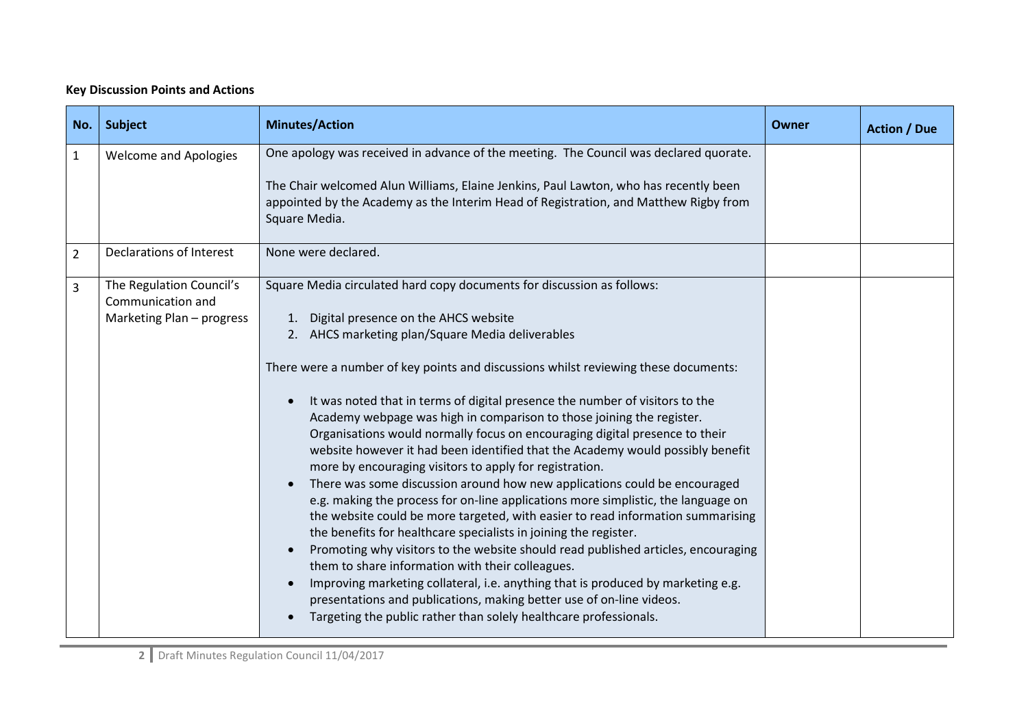## **Key Discussion Points and Actions**

| No.            | Subject                                                                    | <b>Minutes/Action</b>                                                                                                                                                                                                                                                                                                                                                                                                                                                                                                                                                                                                                                                                                                                                                                                                                                                                                                                                                                                                                                                                                                                                                                                                                                                                                                                                | Owner | <b>Action / Due</b> |
|----------------|----------------------------------------------------------------------------|------------------------------------------------------------------------------------------------------------------------------------------------------------------------------------------------------------------------------------------------------------------------------------------------------------------------------------------------------------------------------------------------------------------------------------------------------------------------------------------------------------------------------------------------------------------------------------------------------------------------------------------------------------------------------------------------------------------------------------------------------------------------------------------------------------------------------------------------------------------------------------------------------------------------------------------------------------------------------------------------------------------------------------------------------------------------------------------------------------------------------------------------------------------------------------------------------------------------------------------------------------------------------------------------------------------------------------------------------|-------|---------------------|
| $\mathbf{1}$   | <b>Welcome and Apologies</b>                                               | One apology was received in advance of the meeting. The Council was declared quorate.<br>The Chair welcomed Alun Williams, Elaine Jenkins, Paul Lawton, who has recently been<br>appointed by the Academy as the Interim Head of Registration, and Matthew Rigby from<br>Square Media.                                                                                                                                                                                                                                                                                                                                                                                                                                                                                                                                                                                                                                                                                                                                                                                                                                                                                                                                                                                                                                                               |       |                     |
| $\overline{2}$ | Declarations of Interest                                                   | None were declared.                                                                                                                                                                                                                                                                                                                                                                                                                                                                                                                                                                                                                                                                                                                                                                                                                                                                                                                                                                                                                                                                                                                                                                                                                                                                                                                                  |       |                     |
| 3              | The Regulation Council's<br>Communication and<br>Marketing Plan - progress | Square Media circulated hard copy documents for discussion as follows:<br>1. Digital presence on the AHCS website<br>2. AHCS marketing plan/Square Media deliverables<br>There were a number of key points and discussions whilst reviewing these documents:<br>It was noted that in terms of digital presence the number of visitors to the<br>Academy webpage was high in comparison to those joining the register.<br>Organisations would normally focus on encouraging digital presence to their<br>website however it had been identified that the Academy would possibly benefit<br>more by encouraging visitors to apply for registration.<br>There was some discussion around how new applications could be encouraged<br>e.g. making the process for on-line applications more simplistic, the language on<br>the website could be more targeted, with easier to read information summarising<br>the benefits for healthcare specialists in joining the register.<br>Promoting why visitors to the website should read published articles, encouraging<br>them to share information with their colleagues.<br>Improving marketing collateral, i.e. anything that is produced by marketing e.g.<br>presentations and publications, making better use of on-line videos.<br>Targeting the public rather than solely healthcare professionals. |       |                     |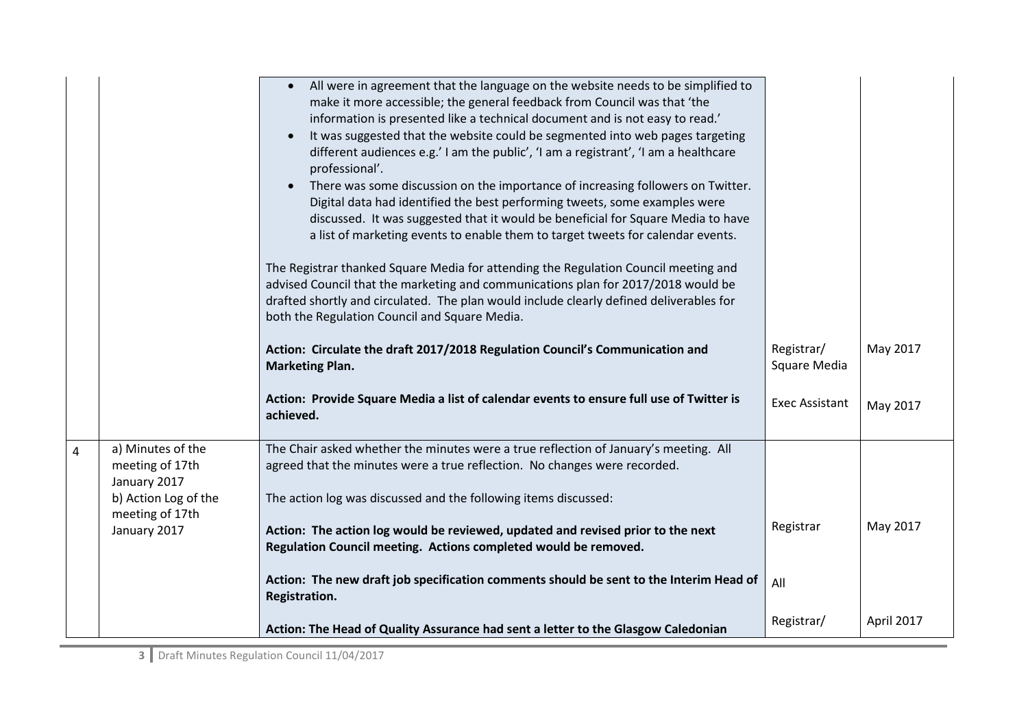|                |                                                                              | All were in agreement that the language on the website needs to be simplified to<br>make it more accessible; the general feedback from Council was that 'the<br>information is presented like a technical document and is not easy to read.'<br>It was suggested that the website could be segmented into web pages targeting<br>$\bullet$<br>different audiences e.g.' I am the public', 'I am a registrant', 'I am a healthcare<br>professional'.<br>There was some discussion on the importance of increasing followers on Twitter.<br>$\bullet$<br>Digital data had identified the best performing tweets, some examples were<br>discussed. It was suggested that it would be beneficial for Square Media to have<br>a list of marketing events to enable them to target tweets for calendar events.<br>The Registrar thanked Square Media for attending the Regulation Council meeting and<br>advised Council that the marketing and communications plan for 2017/2018 would be<br>drafted shortly and circulated. The plan would include clearly defined deliverables for<br>both the Regulation Council and Square Media. |                            |            |
|----------------|------------------------------------------------------------------------------|----------------------------------------------------------------------------------------------------------------------------------------------------------------------------------------------------------------------------------------------------------------------------------------------------------------------------------------------------------------------------------------------------------------------------------------------------------------------------------------------------------------------------------------------------------------------------------------------------------------------------------------------------------------------------------------------------------------------------------------------------------------------------------------------------------------------------------------------------------------------------------------------------------------------------------------------------------------------------------------------------------------------------------------------------------------------------------------------------------------------------------|----------------------------|------------|
|                |                                                                              | Action: Circulate the draft 2017/2018 Regulation Council's Communication and<br><b>Marketing Plan.</b>                                                                                                                                                                                                                                                                                                                                                                                                                                                                                                                                                                                                                                                                                                                                                                                                                                                                                                                                                                                                                           | Registrar/<br>Square Media | May 2017   |
|                |                                                                              | Action: Provide Square Media a list of calendar events to ensure full use of Twitter is<br>achieved.                                                                                                                                                                                                                                                                                                                                                                                                                                                                                                                                                                                                                                                                                                                                                                                                                                                                                                                                                                                                                             | <b>Exec Assistant</b>      | May 2017   |
| $\overline{4}$ | a) Minutes of the<br>meeting of 17th<br>January 2017<br>b) Action Log of the | The Chair asked whether the minutes were a true reflection of January's meeting. All<br>agreed that the minutes were a true reflection. No changes were recorded.<br>The action log was discussed and the following items discussed:                                                                                                                                                                                                                                                                                                                                                                                                                                                                                                                                                                                                                                                                                                                                                                                                                                                                                             |                            |            |
|                | meeting of 17th<br>January 2017                                              | Action: The action log would be reviewed, updated and revised prior to the next<br>Regulation Council meeting. Actions completed would be removed.                                                                                                                                                                                                                                                                                                                                                                                                                                                                                                                                                                                                                                                                                                                                                                                                                                                                                                                                                                               | Registrar                  | May 2017   |
|                |                                                                              | Action: The new draft job specification comments should be sent to the Interim Head of<br>Registration.                                                                                                                                                                                                                                                                                                                                                                                                                                                                                                                                                                                                                                                                                                                                                                                                                                                                                                                                                                                                                          | All                        |            |
|                |                                                                              | Action: The Head of Quality Assurance had sent a letter to the Glasgow Caledonian                                                                                                                                                                                                                                                                                                                                                                                                                                                                                                                                                                                                                                                                                                                                                                                                                                                                                                                                                                                                                                                | Registrar/                 | April 2017 |

**3** Draft Minutes Regulation Council 11/04/2017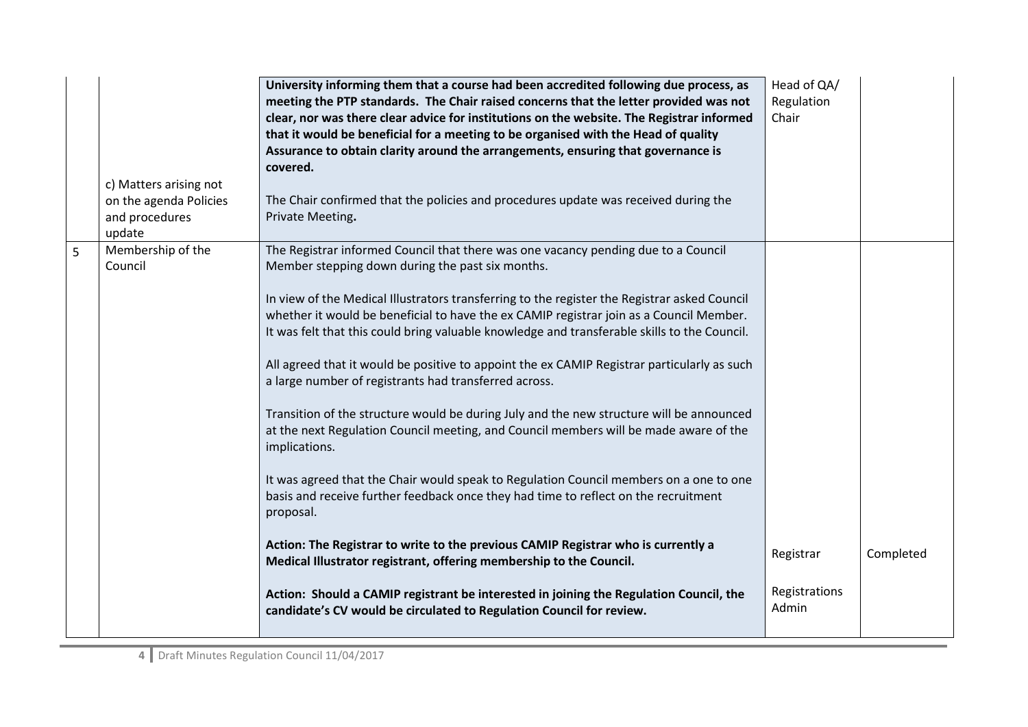|   | c) Matters arising not<br>on the agenda Policies<br>and procedures<br>update | University informing them that a course had been accredited following due process, as<br>meeting the PTP standards. The Chair raised concerns that the letter provided was not<br>clear, nor was there clear advice for institutions on the website. The Registrar informed<br>that it would be beneficial for a meeting to be organised with the Head of quality<br>Assurance to obtain clarity around the arrangements, ensuring that governance is<br>covered.<br>The Chair confirmed that the policies and procedures update was received during the<br>Private Meeting.                                                                                                                                                                                                                                                                                                                                                                                                                                                                                                                                                                              | Head of QA/<br>Regulation<br>Chair |           |
|---|------------------------------------------------------------------------------|-----------------------------------------------------------------------------------------------------------------------------------------------------------------------------------------------------------------------------------------------------------------------------------------------------------------------------------------------------------------------------------------------------------------------------------------------------------------------------------------------------------------------------------------------------------------------------------------------------------------------------------------------------------------------------------------------------------------------------------------------------------------------------------------------------------------------------------------------------------------------------------------------------------------------------------------------------------------------------------------------------------------------------------------------------------------------------------------------------------------------------------------------------------|------------------------------------|-----------|
| 5 | Membership of the<br>Council                                                 | The Registrar informed Council that there was one vacancy pending due to a Council<br>Member stepping down during the past six months.<br>In view of the Medical Illustrators transferring to the register the Registrar asked Council<br>whether it would be beneficial to have the ex CAMIP registrar join as a Council Member.<br>It was felt that this could bring valuable knowledge and transferable skills to the Council.<br>All agreed that it would be positive to appoint the ex CAMIP Registrar particularly as such<br>a large number of registrants had transferred across.<br>Transition of the structure would be during July and the new structure will be announced<br>at the next Regulation Council meeting, and Council members will be made aware of the<br>implications.<br>It was agreed that the Chair would speak to Regulation Council members on a one to one<br>basis and receive further feedback once they had time to reflect on the recruitment<br>proposal.<br>Action: The Registrar to write to the previous CAMIP Registrar who is currently a<br>Medical Illustrator registrant, offering membership to the Council. | Registrar                          | Completed |
|   |                                                                              | Action: Should a CAMIP registrant be interested in joining the Regulation Council, the<br>candidate's CV would be circulated to Regulation Council for review.                                                                                                                                                                                                                                                                                                                                                                                                                                                                                                                                                                                                                                                                                                                                                                                                                                                                                                                                                                                            | Registrations<br>Admin             |           |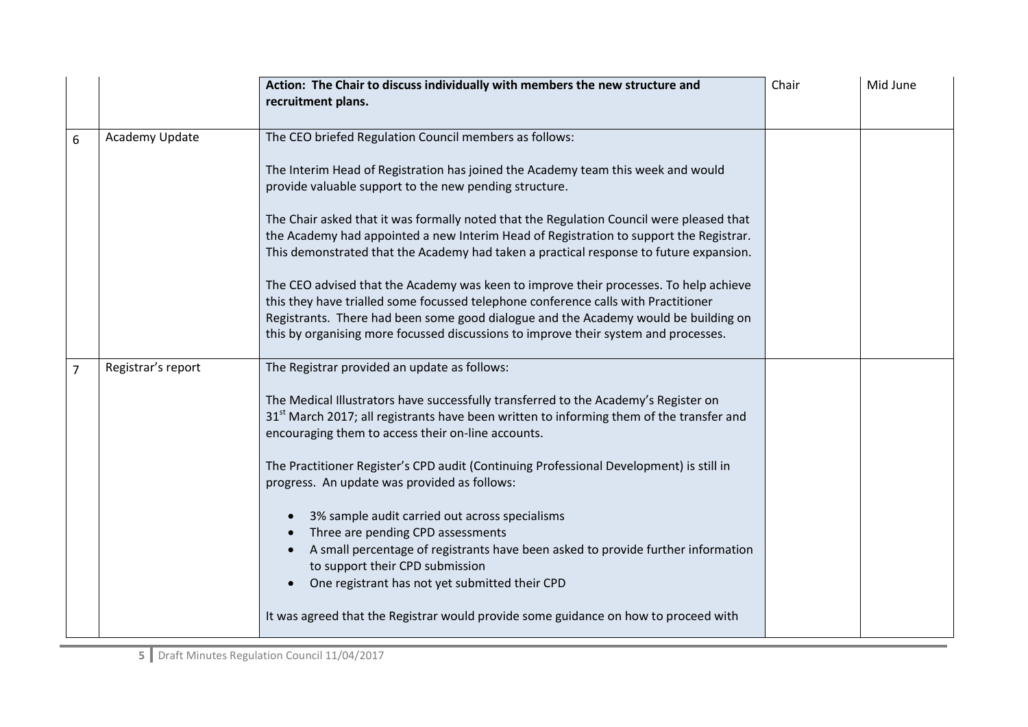|                |                    | Action: The Chair to discuss individually with members the new structure and<br>recruitment plans.                                                                                                                                                                                                                                                                                                                                                                                                                                                                                                                                                                                                                                                                                                                                                | Chair | Mid June |
|----------------|--------------------|---------------------------------------------------------------------------------------------------------------------------------------------------------------------------------------------------------------------------------------------------------------------------------------------------------------------------------------------------------------------------------------------------------------------------------------------------------------------------------------------------------------------------------------------------------------------------------------------------------------------------------------------------------------------------------------------------------------------------------------------------------------------------------------------------------------------------------------------------|-------|----------|
| 6              | Academy Update     | The CEO briefed Regulation Council members as follows:<br>The Interim Head of Registration has joined the Academy team this week and would<br>provide valuable support to the new pending structure.<br>The Chair asked that it was formally noted that the Regulation Council were pleased that<br>the Academy had appointed a new Interim Head of Registration to support the Registrar.<br>This demonstrated that the Academy had taken a practical response to future expansion.<br>The CEO advised that the Academy was keen to improve their processes. To help achieve<br>this they have trialled some focussed telephone conference calls with Practitioner<br>Registrants. There had been some good dialogue and the Academy would be building on<br>this by organising more focussed discussions to improve their system and processes. |       |          |
| $\overline{7}$ | Registrar's report | The Registrar provided an update as follows:<br>The Medical Illustrators have successfully transferred to the Academy's Register on<br>31 <sup>st</sup> March 2017; all registrants have been written to informing them of the transfer and<br>encouraging them to access their on-line accounts.<br>The Practitioner Register's CPD audit (Continuing Professional Development) is still in<br>progress. An update was provided as follows:<br>3% sample audit carried out across specialisms<br>Three are pending CPD assessments<br>A small percentage of registrants have been asked to provide further information<br>to support their CPD submission<br>One registrant has not yet submitted their CPD<br>It was agreed that the Registrar would provide some guidance on how to proceed with                                               |       |          |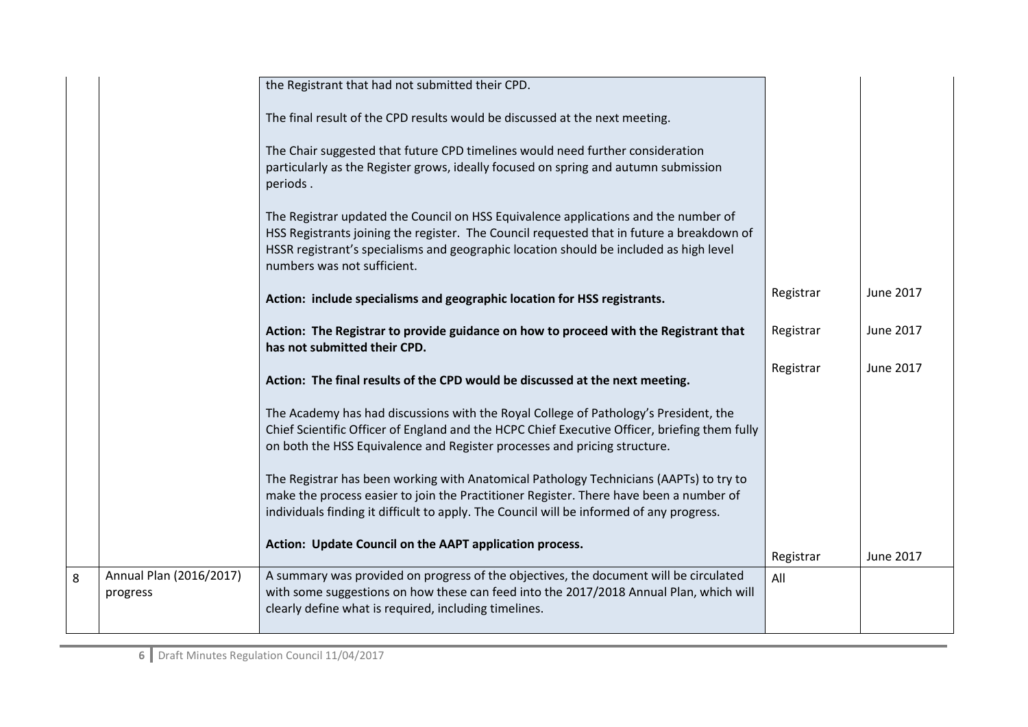|   |                                     | the Registrant that had not submitted their CPD.                                                                                                                                                                                                                                                          |           |           |
|---|-------------------------------------|-----------------------------------------------------------------------------------------------------------------------------------------------------------------------------------------------------------------------------------------------------------------------------------------------------------|-----------|-----------|
|   |                                     | The final result of the CPD results would be discussed at the next meeting.                                                                                                                                                                                                                               |           |           |
|   |                                     | The Chair suggested that future CPD timelines would need further consideration<br>particularly as the Register grows, ideally focused on spring and autumn submission<br>periods.                                                                                                                         |           |           |
|   |                                     | The Registrar updated the Council on HSS Equivalence applications and the number of<br>HSS Registrants joining the register. The Council requested that in future a breakdown of<br>HSSR registrant's specialisms and geographic location should be included as high level<br>numbers was not sufficient. |           |           |
|   |                                     | Action: include specialisms and geographic location for HSS registrants.                                                                                                                                                                                                                                  | Registrar | June 2017 |
|   |                                     | Action: The Registrar to provide guidance on how to proceed with the Registrant that<br>has not submitted their CPD.                                                                                                                                                                                      | Registrar | June 2017 |
|   |                                     | Action: The final results of the CPD would be discussed at the next meeting.                                                                                                                                                                                                                              | Registrar | June 2017 |
|   |                                     | The Academy has had discussions with the Royal College of Pathology's President, the<br>Chief Scientific Officer of England and the HCPC Chief Executive Officer, briefing them fully<br>on both the HSS Equivalence and Register processes and pricing structure.                                        |           |           |
|   |                                     | The Registrar has been working with Anatomical Pathology Technicians (AAPTs) to try to<br>make the process easier to join the Practitioner Register. There have been a number of<br>individuals finding it difficult to apply. The Council will be informed of any progress.                              |           |           |
|   |                                     | Action: Update Council on the AAPT application process.                                                                                                                                                                                                                                                   | Registrar | June 2017 |
| 8 | Annual Plan (2016/2017)<br>progress | A summary was provided on progress of the objectives, the document will be circulated<br>with some suggestions on how these can feed into the 2017/2018 Annual Plan, which will<br>clearly define what is required, including timelines.                                                                  | All       |           |
|   |                                     |                                                                                                                                                                                                                                                                                                           |           |           |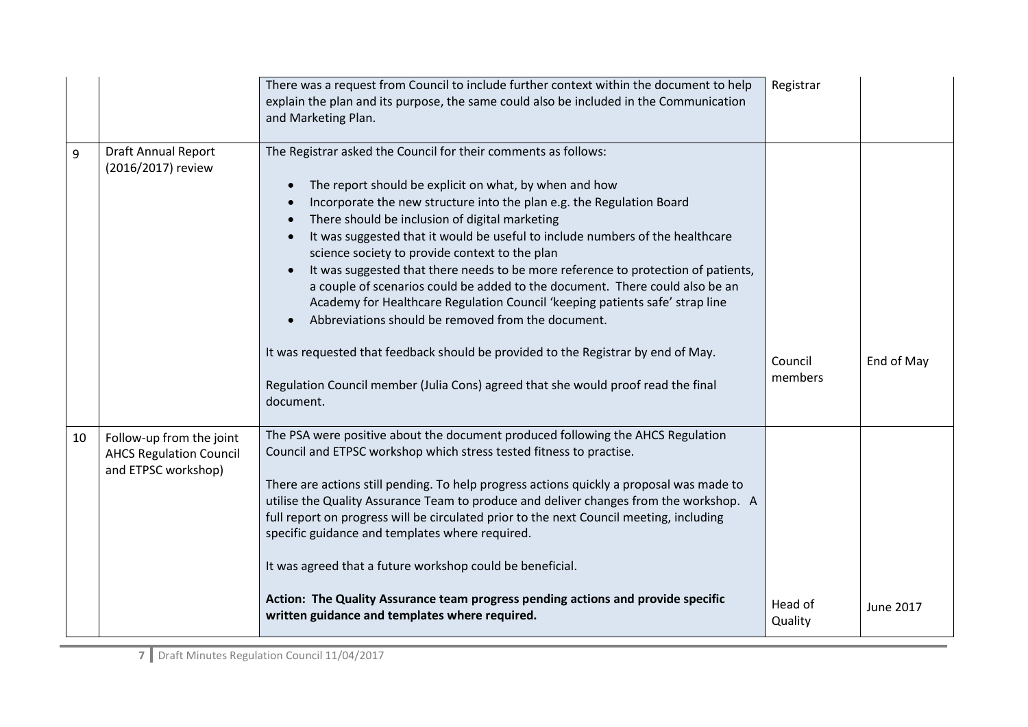|                                                                                   | There was a request from Council to include further context within the document to help<br>explain the plan and its purpose, the same could also be included in the Communication<br>and Marketing Plan.                                                                                                                                                                                                                                                                                                                                                                                                                                                                                                                                                                                                                                                                                 | Registrar          |            |
|-----------------------------------------------------------------------------------|------------------------------------------------------------------------------------------------------------------------------------------------------------------------------------------------------------------------------------------------------------------------------------------------------------------------------------------------------------------------------------------------------------------------------------------------------------------------------------------------------------------------------------------------------------------------------------------------------------------------------------------------------------------------------------------------------------------------------------------------------------------------------------------------------------------------------------------------------------------------------------------|--------------------|------------|
| <b>Draft Annual Report</b><br>(2016/2017) review                                  | The Registrar asked the Council for their comments as follows:<br>The report should be explicit on what, by when and how<br>Incorporate the new structure into the plan e.g. the Regulation Board<br>There should be inclusion of digital marketing<br>It was suggested that it would be useful to include numbers of the healthcare<br>science society to provide context to the plan<br>It was suggested that there needs to be more reference to protection of patients,<br>a couple of scenarios could be added to the document. There could also be an<br>Academy for Healthcare Regulation Council 'keeping patients safe' strap line<br>Abbreviations should be removed from the document.<br>It was requested that feedback should be provided to the Registrar by end of May.<br>Regulation Council member (Julia Cons) agreed that she would proof read the final<br>document. | Council<br>members | End of May |
| Follow-up from the joint<br><b>AHCS Regulation Council</b><br>and ETPSC workshop) | The PSA were positive about the document produced following the AHCS Regulation<br>Council and ETPSC workshop which stress tested fitness to practise.<br>There are actions still pending. To help progress actions quickly a proposal was made to<br>utilise the Quality Assurance Team to produce and deliver changes from the workshop. A<br>full report on progress will be circulated prior to the next Council meeting, including<br>specific guidance and templates where required.<br>It was agreed that a future workshop could be beneficial.<br>Action: The Quality Assurance team progress pending actions and provide specific<br>written guidance and templates where required.                                                                                                                                                                                            | Head of            | June 2017  |
|                                                                                   |                                                                                                                                                                                                                                                                                                                                                                                                                                                                                                                                                                                                                                                                                                                                                                                                                                                                                          |                    | Quality    |